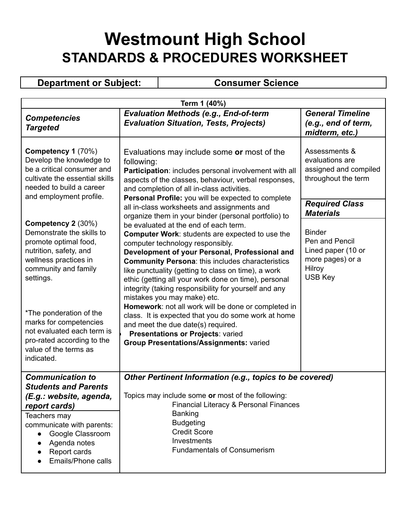## **Westmount High School STANDARDS & PROCEDURES WORKSHEET**

**Department or Subject: Consumer Science** 

| Term 1 (40%)                                                                                                                                                                                                                                  |                                                                                                                                                                                                                                                                                                                                                                                                                                                                                                                                                                                                                       |                                                                                                                                                    |  |
|-----------------------------------------------------------------------------------------------------------------------------------------------------------------------------------------------------------------------------------------------|-----------------------------------------------------------------------------------------------------------------------------------------------------------------------------------------------------------------------------------------------------------------------------------------------------------------------------------------------------------------------------------------------------------------------------------------------------------------------------------------------------------------------------------------------------------------------------------------------------------------------|----------------------------------------------------------------------------------------------------------------------------------------------------|--|
| <b>Competencies</b><br><b>Targeted</b>                                                                                                                                                                                                        | <b>Evaluation Methods (e.g., End-of-term</b><br><b>Evaluation Situation, Tests, Projects)</b>                                                                                                                                                                                                                                                                                                                                                                                                                                                                                                                         | <b>General Timeline</b><br>(e.g., end of term,<br>midterm, etc.)                                                                                   |  |
| Competency 1 (70%)<br>Develop the knowledge to<br>be a critical consumer and<br>cultivate the essential skills<br>needed to build a career<br>and employment profile.                                                                         | Evaluations may include some or most of the<br>following:<br>Participation: includes personal involvement with all<br>aspects of the classes, behaviour, verbal responses,<br>and completion of all in-class activities.<br>Personal Profile: you will be expected to complete                                                                                                                                                                                                                                                                                                                                        | Assessments &<br>evaluations are<br>assigned and compiled<br>throughout the term                                                                   |  |
| Competency 2 (30%)<br>Demonstrate the skills to<br>promote optimal food,<br>nutrition, safety, and<br>wellness practices in<br>community and family<br>settings.                                                                              | all in-class worksheets and assignments and<br>organize them in your binder (personal portfolio) to<br>be evaluated at the end of each term.<br><b>Computer Work: students are expected to use the</b><br>computer technology responsibly.<br>Development of your Personal, Professional and<br><b>Community Persona: this includes characteristics</b><br>like punctuality (getting to class on time), a work<br>ethic (getting all your work done on time), personal<br>integrity (taking responsibility for yourself and any<br>mistakes you may make) etc.<br>Homework: not all work will be done or completed in | <b>Required Class</b><br><b>Materials</b><br><b>Binder</b><br>Pen and Pencil<br>Lined paper (10 or<br>more pages) or a<br>Hilroy<br><b>USB Key</b> |  |
| *The ponderation of the<br>marks for competencies<br>not evaluated each term is<br>pro-rated according to the<br>value of the terms as<br>indicated.                                                                                          | class. It is expected that you do some work at home<br>and meet the due date(s) required.<br>Presentations or Projects: varied<br>Group Presentations/Assignments: varied                                                                                                                                                                                                                                                                                                                                                                                                                                             |                                                                                                                                                    |  |
| <b>Communication to</b><br><b>Students and Parents</b><br>(E.g.: website, agenda,<br>report cards)<br>Teachers may<br>communicate with parents:<br>Google Classroom<br>$\bullet$<br>Agenda notes<br>Report cards<br><b>Emails/Phone calls</b> | Other Pertinent Information (e.g., topics to be covered)<br>Topics may include some or most of the following:<br>Financial Literacy & Personal Finances<br>Banking<br><b>Budgeting</b><br><b>Credit Score</b><br>Investments<br><b>Fundamentals of Consumerism</b>                                                                                                                                                                                                                                                                                                                                                    |                                                                                                                                                    |  |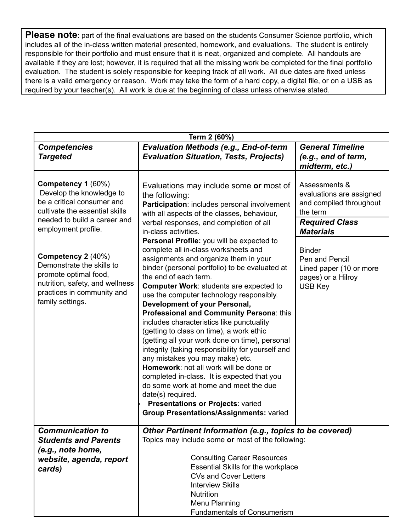**Please note**: part of the final evaluations are based on the students Consumer Science portfolio, which includes all of the in-class written material presented, homework, and evaluations. The student is entirely responsible for their portfolio and must ensure that it is neat, organized and complete. All handouts are available if they are lost; however, it is required that all the missing work be completed for the final portfolio evaluation. The student is solely responsible for keeping track of all work. All due dates are fixed unless there is a valid emergency or reason. Work may take the form of a hard copy, a digital file, or on a USB as required by your teacher(s). All work is due at the beginning of class unless otherwise stated.

| Term 2 (60%)                                                                                                                                                  |                                                                                                                                                                                                                                                                                                                                                                                                                                                                                                                                                                                                                                                                                                                                                                                                                                                            |                                                                                                    |
|---------------------------------------------------------------------------------------------------------------------------------------------------------------|------------------------------------------------------------------------------------------------------------------------------------------------------------------------------------------------------------------------------------------------------------------------------------------------------------------------------------------------------------------------------------------------------------------------------------------------------------------------------------------------------------------------------------------------------------------------------------------------------------------------------------------------------------------------------------------------------------------------------------------------------------------------------------------------------------------------------------------------------------|----------------------------------------------------------------------------------------------------|
| <b>Competencies</b><br><b>Targeted</b>                                                                                                                        | <b>Evaluation Methods (e.g., End-of-term</b><br><b>Evaluation Situation, Tests, Projects)</b>                                                                                                                                                                                                                                                                                                                                                                                                                                                                                                                                                                                                                                                                                                                                                              | <b>General Timeline</b><br>(e.g., end of term,<br>midterm, etc.)                                   |
| Competency 1 (60%)<br>Develop the knowledge to<br>be a critical consumer and<br>cultivate the essential skills                                                | Evaluations may include some or most of<br>the following:<br>Participation: includes personal involvement<br>with all aspects of the classes, behaviour,                                                                                                                                                                                                                                                                                                                                                                                                                                                                                                                                                                                                                                                                                                   | Assessments &<br>evaluations are assigned<br>and compiled throughout<br>the term                   |
| needed to build a career and<br>employment profile.                                                                                                           | verbal responses, and completion of all<br>in-class activities.                                                                                                                                                                                                                                                                                                                                                                                                                                                                                                                                                                                                                                                                                                                                                                                            | <b>Required Class</b><br><b>Materials</b>                                                          |
| Competency 2 (40%)<br>Demonstrate the skills to<br>promote optimal food,<br>nutrition, safety, and wellness<br>practices in community and<br>family settings. | Personal Profile: you will be expected to<br>complete all in-class worksheets and<br>assignments and organize them in your<br>binder (personal portfolio) to be evaluated at<br>the end of each term.<br>Computer Work: students are expected to<br>use the computer technology responsibly.<br>Development of your Personal,<br>Professional and Community Persona: this<br>includes characteristics like punctuality<br>(getting to class on time), a work ethic<br>(getting all your work done on time), personal<br>integrity (taking responsibility for yourself and<br>any mistakes you may make) etc.<br>Homework: not all work will be done or<br>completed in-class. It is expected that you<br>do some work at home and meet the due<br>date(s) required.<br>Presentations or Projects: varied<br><b>Group Presentations/Assignments: varied</b> | <b>Binder</b><br>Pen and Pencil<br>Lined paper (10 or more<br>pages) or a Hilroy<br><b>USB Key</b> |
| <b>Communication to</b><br><b>Students and Parents</b><br>(e.g., note home,<br>website, agenda, report                                                        | Other Pertinent Information (e.g., topics to be covered)<br>Topics may include some or most of the following:<br><b>Consulting Career Resources</b>                                                                                                                                                                                                                                                                                                                                                                                                                                                                                                                                                                                                                                                                                                        |                                                                                                    |
| cards)                                                                                                                                                        | <b>Essential Skills for the workplace</b><br><b>CVs and Cover Letters</b><br><b>Interview Skills</b><br>Nutrition<br>Menu Planning<br><b>Fundamentals of Consumerism</b>                                                                                                                                                                                                                                                                                                                                                                                                                                                                                                                                                                                                                                                                                   |                                                                                                    |